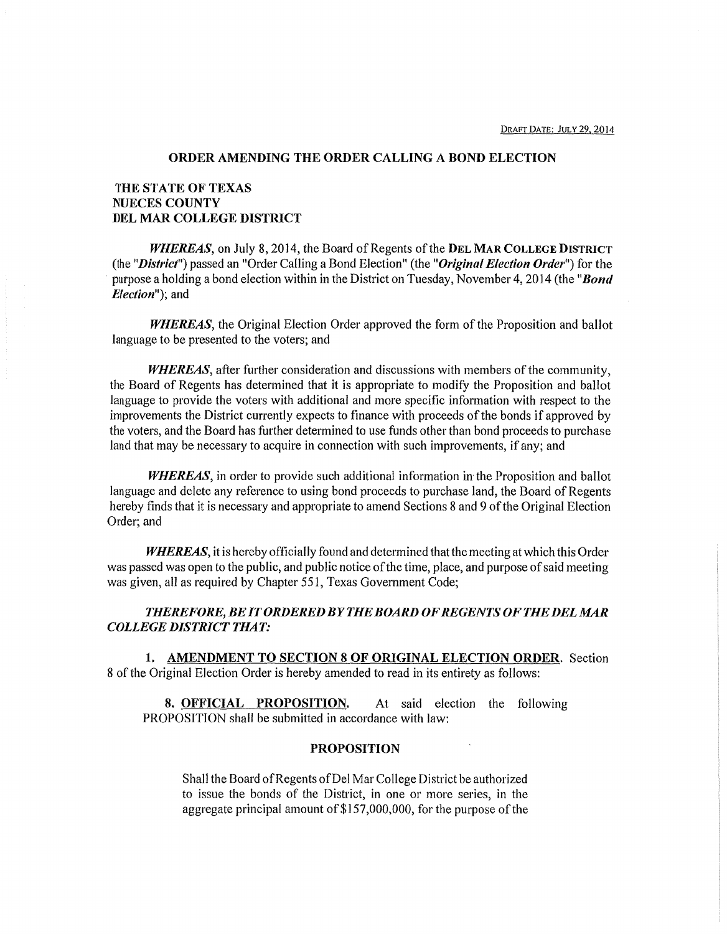#### ORDER AMENDING THE ORDER CALLING A BOND ELECTION

# THE STATE OF TEXAS NUECES COUNTY DEL MAR COLLEGE DISTRICT

*WHEREAS,* on July 8, 2014, the Board of Regents of the DEL MAR COLLEGE DISTRICT (the *"District")* passed an "Order Calling a Bond Election" (the *"Original Election Order")* for the purpose a holding a bond election within in the District on Tuesday, November 4, 2014 (the *"Bond Ef ection");* and

*WHEREAS,* the Original Election Order approved the form of the Proposition and ballot language to be presented to the voters; and

*WHEREAS,* after further consideration and discussions with members of the community, the Board of Regents has determined that it is appropriate to modify the Proposition and ballot language to provide the voters with additional and more specific information with respect to the improvements the District currently expects to finance with proceeds of the bonds if approved by the voters, and the Board has further determined to use funds other than bond proceeds to purchase land that may be necessary to acquire in connection with such improvements, if any; and

*WHEREAS,* in order to provide such additional information in the Proposition and ballot language and delete any reference to using bond proceeds to purchase land, the Board of Regents hereby finds that it is necessary and appropriate to amend Sections 8 and 9 of the Original Election Order; and

*WHEREAS,* it is hereby officially found and determined that the meeting at which this Order was passed was open to the public, and public notice of the time, place, and purpose of said meeting was given, all as required by Chapter 551, Texas Government Code;

## *THEREFORE,BEITORDEREDBYTHEBOARDOFREGENTSOFTHEDELMAR COLLEGE DISTRICT THAT:*

1. AMENDMENT TO SECTION 8 OF ORIGINAL ELECTION ORDER. Section 8 of the Original Election Order is hereby amended to read in its entirety as follows:

8. OFFICIAL PROPOSITION. At said election the following PROPOSITION shall be submitted in accordance with law:

## PROPOSITION

Shall the Board of Regents of Del Mar College District be authorized to issue the bonds of the District, in one or more series, in the aggregate principal amount of\$157,000,000, for the purpose of the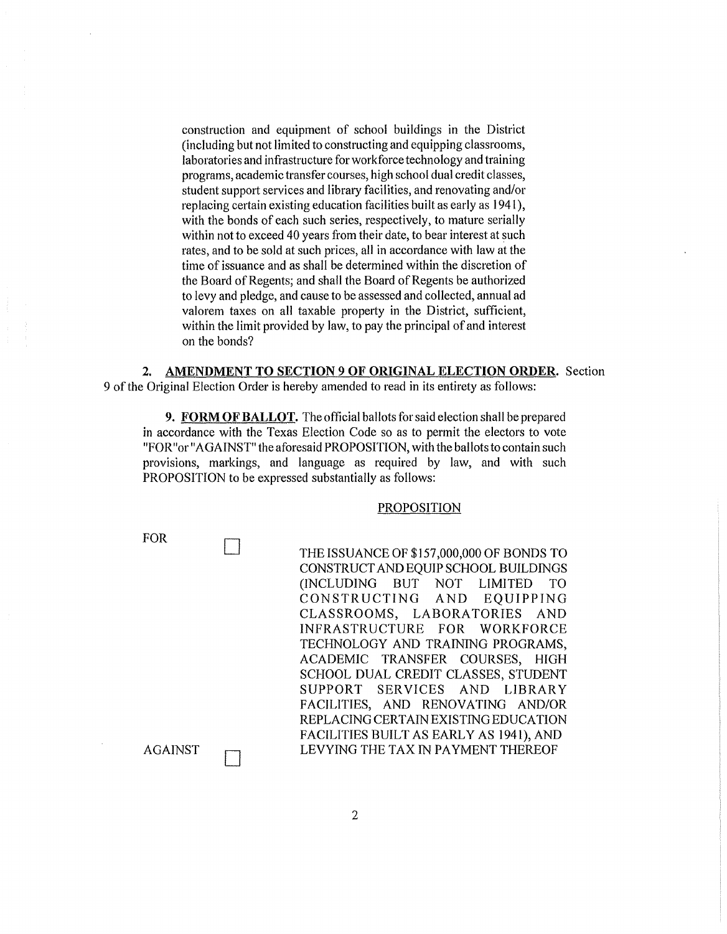construction and equipment of school buildings in the District (including but not limited to constructing and equipping classrooms, laboratories and infrastructure for workforce technology and training programs, academic transfer courses, high school dual credit classes, student support services and library facilities, and renovating and/or replacing certain existing education facilities built as early as 1941 ), with the bonds of each such series, respectively, to mature serially within not to exceed 40 years from their date, to bear interest at such rates, and to be sold at such prices, all in accordance with law at the time of issuance and as shall be determined within the discretion of the Board of Regents; and shall the Board of Regents be authorized to levy and pledge, and cause to be assessed and collected, annual ad valorem taxes on all taxable property in the District, sufficient, within the limit provided by law, to pay the principal of and interest on the bonds?

**2. AMENDMENT TO SECTION 9 OF ORIGINAL ELECTION ORDER.** Section 9 of the Original Election Order is hereby amended to read in its entirety as follows:

**9. FORM OF BALLOT.** The official ballots for said election shall be prepared in accordance with the Texas Election Code so as to permit the electors to vote "FOR"or "AGAINST" the aforesaid PROPOSITION, with the ballots to contain such provisions, markings, and language as required by law, and with such PROPOSITION to be expressed substantially as follows:

#### PROPOSITION

| <b>FOR</b>     |                                           |
|----------------|-------------------------------------------|
|                | THE ISSUANCE OF \$157,000,000 OF BONDS TO |
|                | CONSTRUCT AND EQUIP SCHOOL BUILDINGS      |
|                | (INCLUDING BUT NOT LIMITED<br>TO          |
|                | CONSTRUCTING AND EQUIPPING                |
|                | CLASSROOMS, LABORATORIES AND              |
|                | INFRASTRUCTURE FOR WORKFORCE              |
|                | TECHNOLOGY AND TRAINING PROGRAMS,         |
|                | ACADEMIC TRANSFER COURSES, HIGH           |
|                | SCHOOL DUAL CREDIT CLASSES, STUDENT       |
|                | SUPPORT SERVICES AND LIBRARY              |
|                | FACILITIES, AND RENOVATING AND/OR         |
|                | REPLACING CERTAIN EXISTING EDUCATION      |
|                | FACILITIES BUILT AS EARLY AS 1941), AND   |
| <b>AGAINST</b> | LEVYING THE TAX IN PAYMENT THEREOF        |
|                |                                           |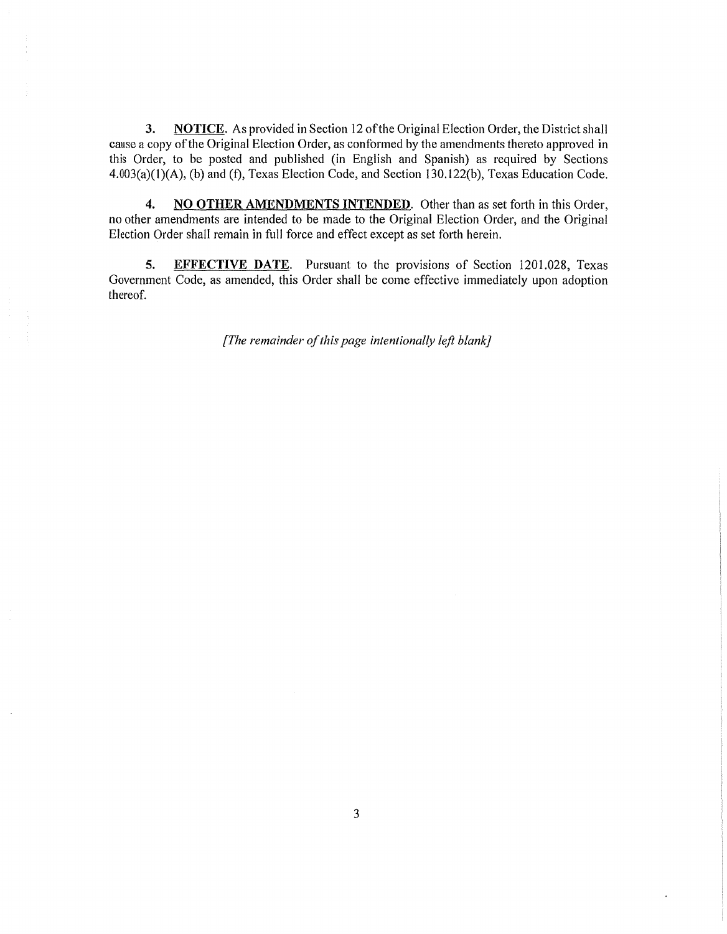**3. NOTICE.** As provided in Section 12 of the Original Election Order, the District shall cause a copy of the Original Election Order, as conformed by the amendments thereto approved in this Order, to be posted and published (in English and Spanish) as required by Sections 4.003(a)(l)(A), (b) and (f), Texas Election Code, and Section 130.122(b), Texas Education Code.

**4. NO OTHER AMENDMENTS INTENDED.** Other than as set forth in this Order, no other amendments are intended to be made to the Original Election Order, and the Original Election Order shall remain in full force and effect except as set forth herein.

**5. EFFECTIVE DATE.** Pursuant to the provisions of Section 1201.028, Texas Government Code, as amended, this Order shall be come effective immediately upon adoption thereof.

*[The remainder of this page intentionally left blank]*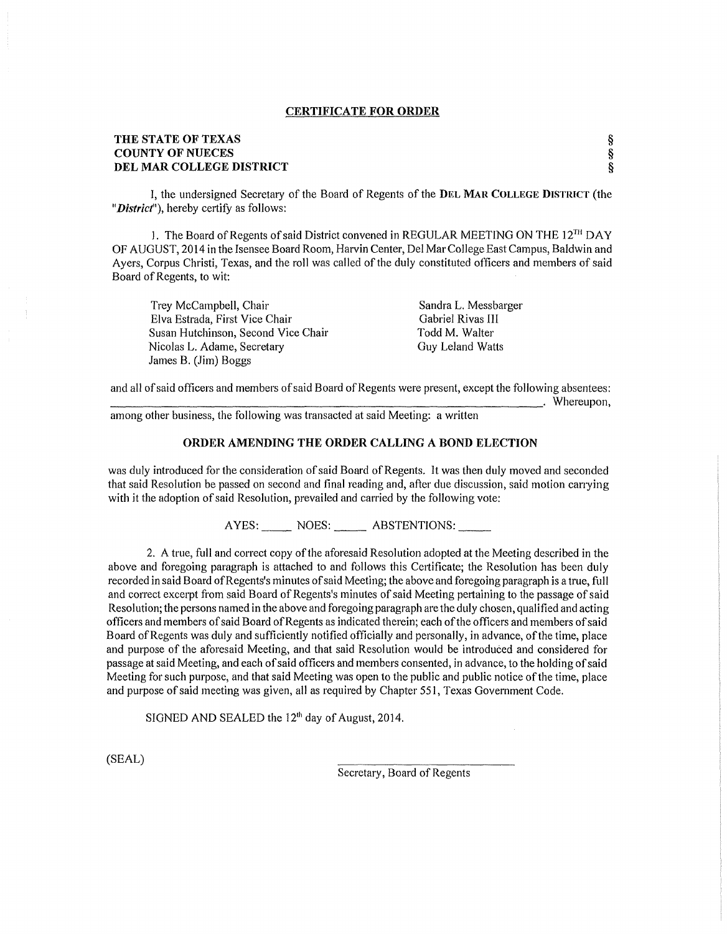#### CERTIFICATE FOR ORDER

## THE STATE OF TEXAS COUNTY OF NUECES DEL MAR COLLEGE DISTRICT

I, the undersigned Secretary of the Board of Regents of the DEL MAR COLLEGE DISTRICT (the *"District"),* hereby certify as follows:

1. The Board of Regents of said District convened in REGULAR MEETING ON THE  $12^{TH}$  DAY OF AUGUST, 2014 in the Isensee Board Room, Harvin Center, Del Mar College East Campus, Baldwin and Ayers, Corpus Christi, Texas, and the roll was called of the duly constituted officers and members of said Board of Regents, to wit:

Trey Mccampbell, Chair Elva Estrada, First Vice Chair Susan Hutchinson, Second Vice Chair Nicolas L. Adame, Secretary James B. (Jim) Boggs

Sandra L. Messbarger Gabriel Rivas III Todd M. Walter Guy Leland Watts

§ § §

and all of said officers and members of said Board of Regents were present, except the following absentees:<br>
Whereupon,<br>
Whereupon,

among other business, the following was transacted at said Meeting: a written

## ORDER AMENDING THE ORDER CALLING A BOND ELECTION

was duly introduced for the consideration of said Board of Regents. It was then duly moved and seconded that said Resolution be passed on second and final reading and, after due discussion, said motion carrying with it the adoption of said Resolution, prevailed and carried by the following vote:

AYES: NOES: ABSTENTIONS:

2. A true, full and correct copy of the aforesaid Resolution adopted at the Meeting described in the above and foregoing paragraph is attached to and follows this Certificate; the Resolution has been duly recorded in said Board ofRegents's minutes of said Meeting; the above and foregoing paragraph is a true, full and correct excerpt from said Board of Regents's minutes of said Meeting pertaining to the passage of said Resolution; the persons named in the above and foregoing paragraph are the duly chosen, qualified and acting officers and members of said Board of Regents as indicated therein; each of the officers and members of said Board of Regents was duly and sufficiently notified officially and personally, in advance, of the time, place and purpose of the aforesaid Meeting, and that said Resolution would be introduced and considered for passage at said Meeting, and each of said officers and members consented, in advance, to the holding of said Meeting for such purpose, and that said Meeting was open to the public and public notice of the time, place and purpose of said meeting was given, all as required by Chapter 551, Texas Government Code.

SIGNED AND SEALED the  $12<sup>th</sup>$  day of August, 2014.

(SEAL)

Secretary, Board of Regents